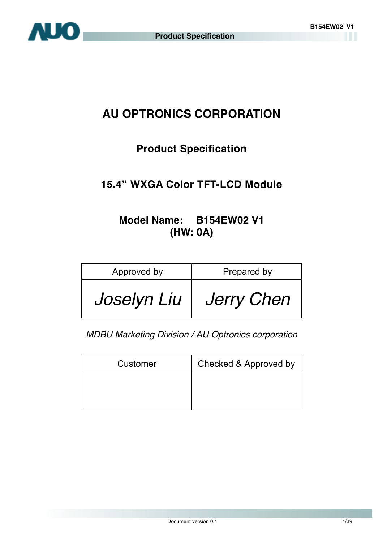

# **AU OPTRONICS CORPORATION**

### **Product Specification**

### **15.4" WXGA Color TFT-LCD Module**

### **Model Name: B154EW02 V1 (HW: 0A)**

| Approved by | Prepared by       |
|-------------|-------------------|
| Joselyn Liu | <b>Jerry Chen</b> |

*MDBU Marketing Division / AU Optronics corporation* 

| Customer | Checked & Approved by |
|----------|-----------------------|
|          |                       |
|          |                       |
|          |                       |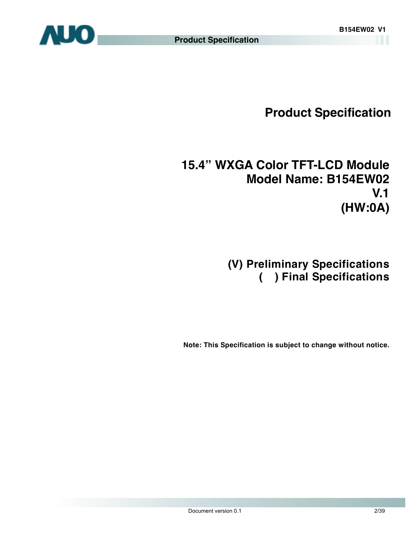**Product Specification** 

# **15.4" WXGA Color TFT-LCD Module Model Name: B154EW02 V.1 (HW:0A)**

## **(V) Preliminary Specifications ( ) Final Specifications**

**Note: This Specification is subject to change without notice.**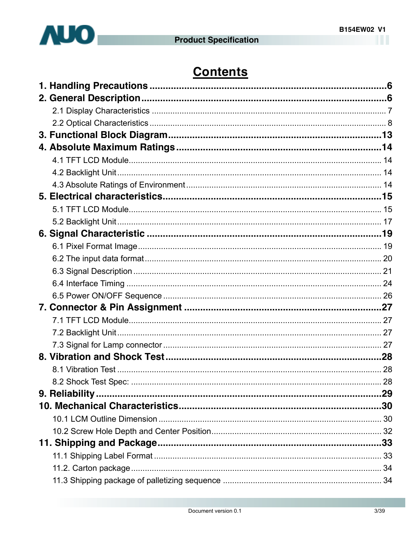

# **Contents**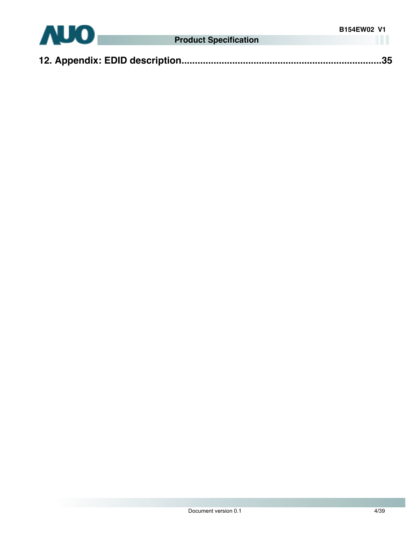

|--|--|--|--|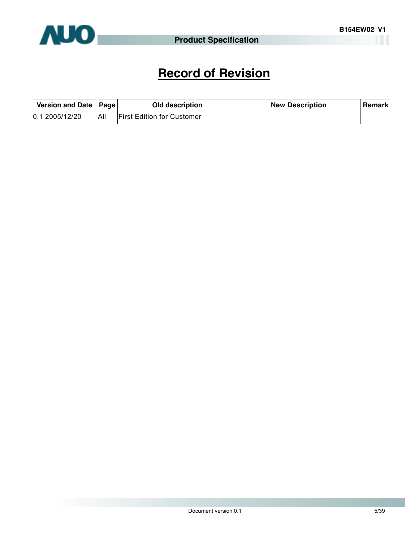

# **Record of Revision**

| Version and Date   Page |     | Old description                   | <b>New Description</b> | Remark |
|-------------------------|-----|-----------------------------------|------------------------|--------|
| 0.12005/12/20           | All | <b>First Edition for Customer</b> |                        |        |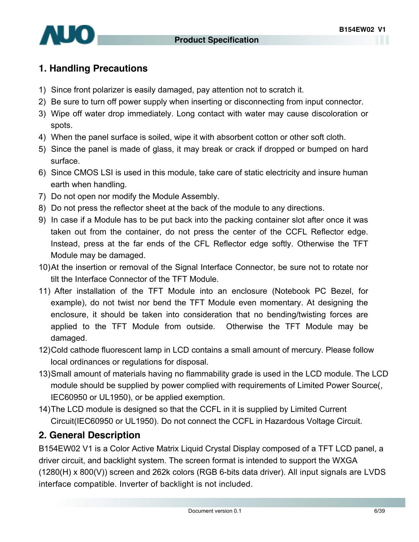<span id="page-5-0"></span>

### **1. Handling Precautions**

- 1) Since front polarizer is easily damaged, pay attention not to scratch it.
- 2) Be sure to turn off power supply when inserting or disconnecting from input connector.
- 3) Wipe off water drop immediately. Long contact with water may cause discoloration or spots.
- 4) When the panel surface is soiled, wipe it with absorbent cotton or other soft cloth.
- 5) Since the panel is made of glass, it may break or crack if dropped or bumped on hard surface.
- 6) Since CMOS LSI is used in this module, take care of static electricity and insure human earth when handling.
- 7) Do not open nor modify the Module Assembly.
- 8) Do not press the reflector sheet at the back of the module to any directions.
- 9) In case if a Module has to be put back into the packing container slot after once it was taken out from the container, do not press the center of the CCFL Reflector edge. Instead, press at the far ends of the CFL Reflector edge softly. Otherwise the TFT Module may be damaged.
- 10) At the insertion or removal of the Signal Interface Connector, be sure not to rotate nor tilt the Interface Connector of the TFT Module.
- 11) After installation of the TFT Module into an enclosure (Notebook PC Bezel, for example), do not twist nor bend the TFT Module even momentary. At designing the enclosure, it should be taken into consideration that no bending/twisting forces are applied to the TFT Module from outside. Otherwise the TFT Module may be damaged.
- 12) Cold cathode fluorescent lamp in LCD contains a small amount of mercury. Please follow local ordinances or regulations for disposal.
- 13) Small amount of materials having no flammability grade is used in the LCD module. The LCD module should be supplied by power complied with requirements of Limited Power Source(, IEC60950 or UL1950), or be applied exemption.
- 14) The LCD module is designed so that the CCFL in it is supplied by Limited Current Circuit(IEC60950 or UL1950). Do not connect the CCFL in Hazardous Voltage Circuit.

### **2. General Description**

B154EW02 V1 is a Color Active Matrix Liquid Crystal Display composed of a TFT LCD panel, a driver circuit, and backlight system. The screen format is intended to support the WXGA (1280(H) x 800(V)) screen and 262k colors (RGB 6-bits data driver). All input signals are LVDS interface compatible. Inverter of backlight is not included.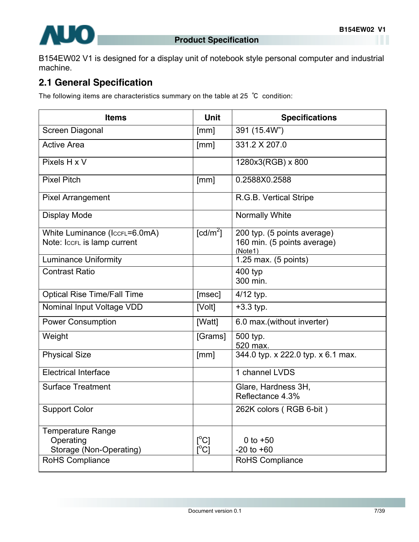<span id="page-6-0"></span>B154EW02 V1 is designed for a display unit of notebook style personal computer and industrial machine.

### **2.1 General Specification**

The following items are characteristics summary on the table at 25 ℃ condition:

| <b>Items</b>                                                     | <b>Unit</b>            | <b>Specifications</b>                                                 |
|------------------------------------------------------------------|------------------------|-----------------------------------------------------------------------|
| Screen Diagonal                                                  | [mm]                   | 391 (15.4W")                                                          |
| <b>Active Area</b>                                               | [mm]                   | 331.2 X 207.0                                                         |
| Pixels H x V                                                     |                        | 1280x3(RGB) x 800                                                     |
| <b>Pixel Pitch</b>                                               | [mm]                   | 0.2588X0.2588                                                         |
| <b>Pixel Arrangement</b>                                         |                        | R.G.B. Vertical Stripe                                                |
| <b>Display Mode</b>                                              |                        | <b>Normally White</b>                                                 |
| White Luminance (IccrL=6.0mA)<br>Note: IccrL is lamp current     | $\lceil cd/m^2 \rceil$ | 200 typ. (5 points average)<br>160 min. (5 points average)<br>(Note1) |
| <b>Luminance Uniformity</b>                                      |                        | 1.25 max. (5 points)                                                  |
| <b>Contrast Ratio</b>                                            |                        | 400 typ<br>300 min.                                                   |
| <b>Optical Rise Time/Fall Time</b>                               | [msec]                 | 4/12 typ.                                                             |
| Nominal Input Voltage VDD                                        | [Volt]                 | $+3.3$ typ.                                                           |
| <b>Power Consumption</b>                                         | [Watt]                 | 6.0 max.(without inverter)                                            |
| Weight                                                           | [Grams]                | 500 typ.<br>520 max.                                                  |
| <b>Physical Size</b>                                             | [mm]                   | 344.0 typ. x 222.0 typ. x 6.1 max.                                    |
| <b>Electrical Interface</b>                                      |                        | 1 channel LVDS                                                        |
| <b>Surface Treatment</b>                                         |                        | Glare, Hardness 3H,<br>Reflectance 4.3%                               |
| <b>Support Color</b>                                             |                        | 262K colors (RGB 6-bit)                                               |
| <b>Temperature Range</b><br>Operating<br>Storage (Non-Operating) | $[^{\circ}C]$<br>[°C]  | 0 to $+50$<br>$-20$ to $+60$                                          |
| RoHS Compliance                                                  |                        | RoHS Compliance                                                       |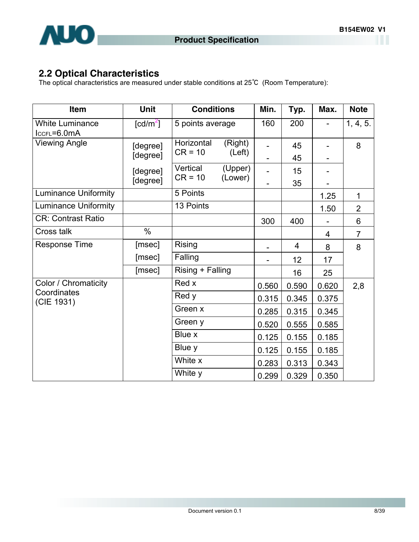<span id="page-7-0"></span>

### **2.2 Optical Characteristics**

The optical characteristics are measured under stable conditions at 25℃ (Room Temperature):

| Item                                  | <b>Unit</b>                    | <b>Conditions</b>     |                    | Min.  | Typ.     | Max.  | <b>Note</b>    |
|---------------------------------------|--------------------------------|-----------------------|--------------------|-------|----------|-------|----------------|
| <b>White Luminance</b><br>IccFL=6.0mA | $\lceil \frac{cd}{m^2} \rceil$ | 5 points average      |                    | 160   | 200      |       | 1, 4, 5.       |
| <b>Viewing Angle</b>                  | [degree]                       | Horizontal            | (Right)            |       | 45       |       | 8              |
|                                       | [degree]                       | $CR = 10$             | (Left)             |       | 45       |       |                |
|                                       | [degree]<br>[degree]           | Vertical<br>$CR = 10$ | (Upper)<br>(Lower) |       | 15<br>35 |       |                |
| <b>Luminance Uniformity</b>           |                                | 5 Points              |                    |       |          | 1.25  | 1              |
| <b>Luminance Uniformity</b>           |                                | 13 Points             |                    |       |          | 1.50  | $\overline{2}$ |
| <b>CR: Contrast Ratio</b>             |                                |                       |                    | 300   | 400      |       | 6              |
| Cross talk                            | $\%$                           |                       |                    |       |          | 4     | $\overline{7}$ |
| <b>Response Time</b>                  | [msec]                         | <b>Rising</b>         |                    |       | 4        | 8     | 8              |
|                                       | [msec]                         | Falling               |                    | -     | 12       | 17    |                |
|                                       | [msec]                         | Rising + Falling      |                    |       | 16       | 25    |                |
| Color / Chromaticity                  |                                | Red x                 |                    | 0.560 | 0.590    | 0.620 | 2,8            |
| Coordinates<br>(CIE 1931)             |                                | Red y                 |                    | 0.315 | 0.345    | 0.375 |                |
|                                       |                                | Green x               |                    | 0.285 | 0.315    | 0.345 |                |
|                                       |                                | Green y               |                    | 0.520 | 0.555    | 0.585 |                |
|                                       |                                | Blue x                |                    | 0.125 | 0.155    | 0.185 |                |
|                                       |                                | Blue y                |                    | 0.125 | 0.155    | 0.185 |                |
|                                       |                                | White x               |                    | 0.283 | 0.313    | 0.343 |                |
|                                       |                                | White y               |                    | 0.299 | 0.329    | 0.350 |                |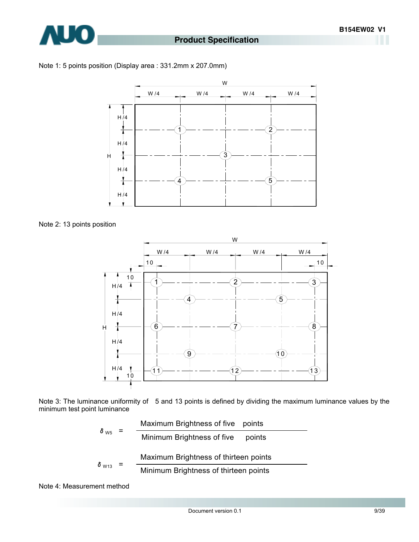

#### Note 1: 5 points position (Display area : 331.2mm x 207.0mm)



Note 2: 13 points position



Note 3: The luminance uniformity of 5 and 13 points is defined by dividing the maximum luminance values by the minimum test point luminance

$$
\delta_{\text{W5}} = \frac{\text{Maximum brightness of five points}}{\text{Minimum brightness of five points}}
$$
\n
$$
\delta_{\text{W13}} = \frac{\text{Maximum brightness of thirteen points}}{\text{Minimum brightness of thirteen points}}
$$

Note 4: Measurement method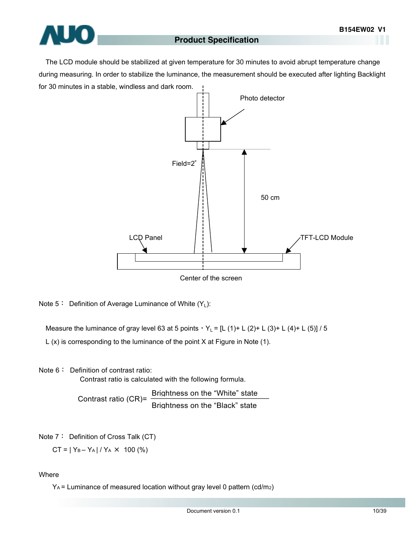

The LCD module should be stabilized at given temperature for 30 minutes to avoid abrupt temperature change during measuring. In order to stabilize the luminance, the measurement should be executed after lighting Backlight for 30 minutes in a stable, windless and dark room.



Note  $5:$  Definition of Average Luminance of White  $(Y_L)$ :

Measure the luminance of gray level 63 at 5 points,  $Y_L = [L (1) + L (2) + L (3) + L (4) + L (5)] / 5$ 

L (x) is corresponding to the luminance of the point X at Figure in Note (1).

Note 6: Definition of contrast ratio:

Contrast ratio is calculated with the following formula.

Brightness on the "White" state Contrast ratio  $(CR) = \frac{B}{B}$  Brightness on the "Black" state

Note 7: Definition of Cross Talk (CT)

 $CT = |Y_B - Y_A| / Y_A \times 100$  (%)

Where

YA = Luminance of measured location without gray level 0 pattern (cd/m2)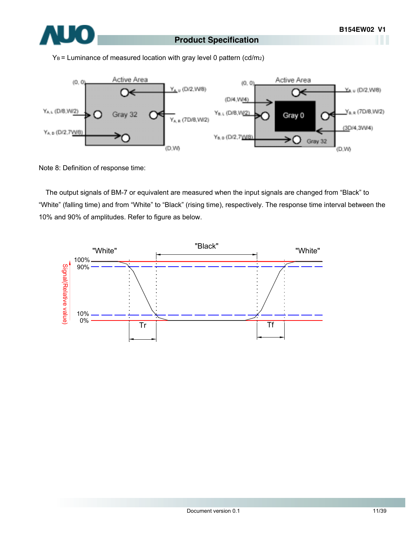

 $Y_B$  = Luminance of measured location with gray level 0 pattern (cd/m<sub>2</sub>)



Note 8: Definition of response time:

The output signals of BM-7 or equivalent are measured when the input signals are changed from "Black" to "White" (falling time) and from "White" to "Black" (rising time), respectively. The response time interval between the 10% and 90% of amplitudes. Refer to figure as below.

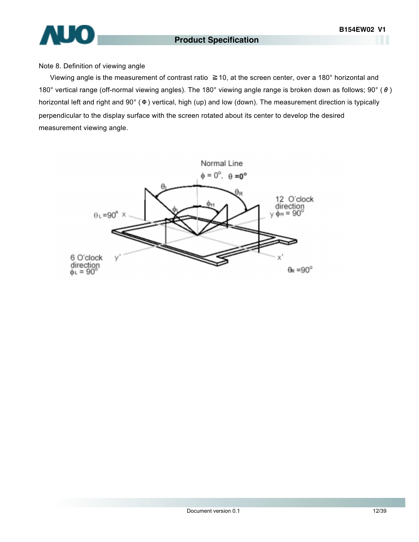# **AUO**

#### **Product Specification**

#### Note 8. Definition of viewing angle

Viewing angle is the measurement of contrast ratio ≧10, at the screen center, over a 180° horizontal and 180° vertical range (off-normal viewing angles). The 180° viewing angle range is broken down as follows; 90° (θ) horizontal left and right and 90° (Φ) vertical, high (up) and low (down). The measurement direction is typically perpendicular to the display surface with the screen rotated about its center to develop the desired measurement viewing angle.

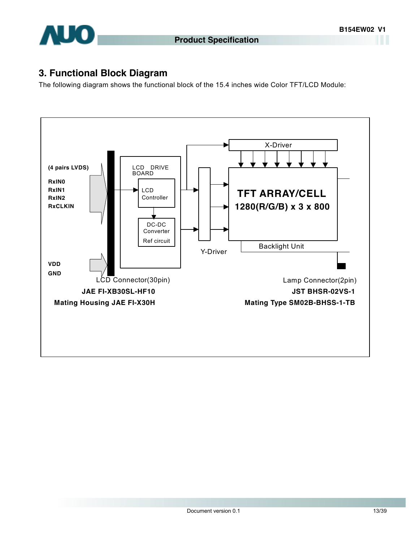<span id="page-12-0"></span>

### **3. Functional Block Diagram**

The following diagram shows the functional block of the 15.4 inches wide Color TFT/LCD Module:

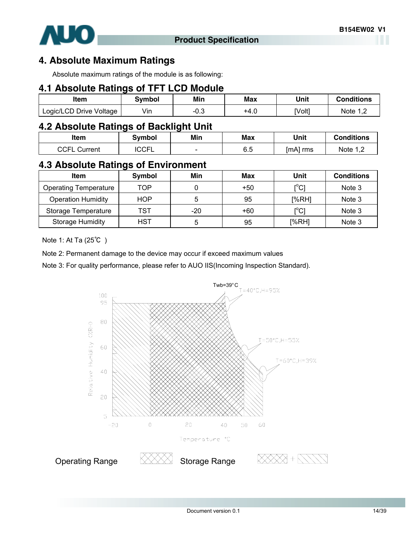<span id="page-13-0"></span>

### **4. Absolute Maximum Ratings**

Absolute maximum ratings of the module is as following:

#### **4.1 Absolute Ratings of TFT LCD Module**

| ltem                    | Svmbol | Min         | Max  | Unit   | <b>Conditions</b> |
|-------------------------|--------|-------------|------|--------|-------------------|
| Logic/LCD Drive Voltage | Vin    | ∩ ຈ<br>−∪.◡ | +4.0 | [Volt] | Note 1            |

### **4.2 Absolute Ratings of Backlight Unit**

| ltem                          | 3vmbol                | Min                      | Max             | Unit     | <b>Conditions</b>                    |
|-------------------------------|-----------------------|--------------------------|-----------------|----------|--------------------------------------|
| <b>COEL</b><br>Current<br>⊤ت∪ | $\cap$ $\cap$<br>◡◡┌∟ | $\overline{\phantom{a}}$ | ς κ<br>÷<br>υ.υ | [mA] rms | Note 1 C<br>$\overline{\phantom{a}}$ |

### **4.3 Absolute Ratings of Environment**

| <b>Item</b>                  | Symbol     | Min   | Max   | Unit  | <b>Conditions</b> |
|------------------------------|------------|-------|-------|-------|-------------------|
| <b>Operating Temperature</b> | TOP        |       | $+50$ | [°C]  | Note 3            |
| <b>Operation Humidity</b>    | <b>HOP</b> | 5     | 95    | [%RH] | Note 3            |
| Storage Temperature          | TST        | $-20$ | +60   | [°C]  | Note 3            |
| <b>Storage Humidity</b>      | <b>HST</b> | 5     | 95    | [%RH] | Note 3            |

Note 1: At Ta (25℃ )

Note 2: Permanent damage to the device may occur if exceed maximum values

Note 3: For quality performance, please refer to AUO IIS(Incoming Inspection Standard).

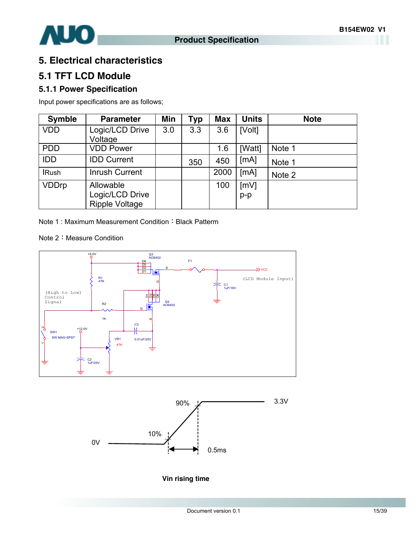<span id="page-14-0"></span>

### **5. Electrical characteristics**

#### **5.1 TFT LCD Module**

#### **5.1.1 Power Specification**

Input power specifications are as follows;

| <b>Symble</b> | <b>Parameter</b>                         | Min | Typ | <b>Max</b> | <b>Units</b> | <b>Note</b> |
|---------------|------------------------------------------|-----|-----|------------|--------------|-------------|
| <b>VDD</b>    | Logic/LCD Drive                          | 3.0 | 3.3 | 3.6        | [Volt]       |             |
|               | Voltage                                  |     |     |            |              |             |
| <b>PDD</b>    | <b>VDD Power</b>                         |     |     | 1.6        | [Watt]       | Note 1      |
| <b>IDD</b>    | <b>IDD Current</b>                       |     | 350 | 450        | [mA]         | Note 1      |
| <b>IRush</b>  | <b>Inrush Current</b>                    |     |     | 2000       | [mA]         | Note 2      |
| <b>VDDrp</b>  | Allowable                                |     |     | 100        | [mV]         |             |
|               | Logic/LCD Drive<br><b>Ripple Voltage</b> |     |     |            | $p-p$        |             |

Note 1 : Maximum Measurement Condition: Black Patterm

Note 2: Measure Condition





**Vin rising time**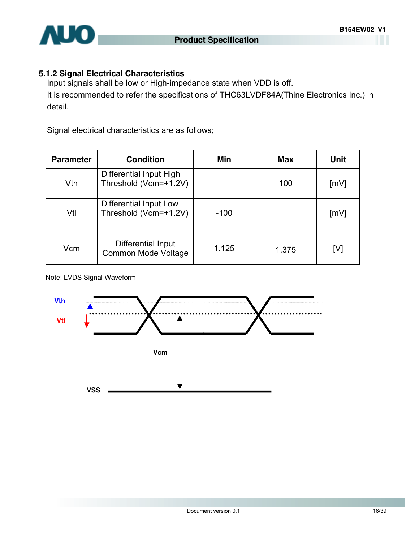

#### **5.1.2 Signal Electrical Characteristics**

Input signals shall be low or High-impedance state when VDD is off. It is recommended to refer the specifications of THC63LVDF84A(Thine Electronics Inc.) in detail.

Signal electrical characteristics are as follows;

| <b>Parameter</b> | <b>Condition</b>                                 | Min    | <b>Max</b> | Unit |
|------------------|--------------------------------------------------|--------|------------|------|
| Vth              | Differential Input High<br>Threshold (Vcm=+1.2V) |        | 100        | [mV] |
| Vtl              | Differential Input Low<br>Threshold (Vcm=+1.2V)  | $-100$ |            | [mV] |
| Vcm              | Differential Input<br>Common Mode Voltage        | 1.125  | 1.375      | [V]  |

Note: LVDS Signal Waveform

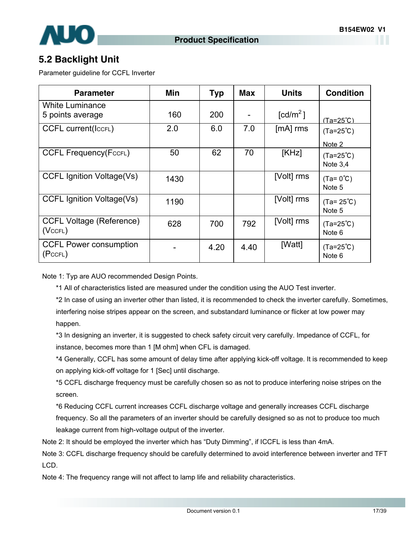<span id="page-16-0"></span>

### **5.2 Backlight Unit**

Parameter guideline for CCFL Inverter

| <b>Parameter</b>                                 | Min  | <b>Typ</b> | <b>Max</b> | <b>Units</b>           | <b>Condition</b>               |
|--------------------------------------------------|------|------------|------------|------------------------|--------------------------------|
| <b>White Luminance</b><br>5 points average       | 160  | 200        |            | $\lceil cd/m^2 \rceil$ | $(Ta=25^{\circ}C)$             |
| <b>CCFL current(IccFL)</b>                       | 2.0  | 6.0        | 7.0        | $[mA]$ rms             | $(Ta=25^{\circ}C)$<br>Note 2   |
| <b>CCFL Frequency(FccFL)</b>                     | 50   | 62         | 70         | [KHz]                  | $(Ta=25^{\circ}C)$<br>Note 3,4 |
| <b>CCFL Ignition Voltage(Vs)</b>                 | 1430 |            |            | [Volt] rms             | $(Ta = 0^{\circ}C)$<br>Note 5  |
| <b>CCFL Ignition Voltage(Vs)</b>                 | 1190 |            |            | [Volt] rms             | $(Ta = 25^{\circ}C)$<br>Note 5 |
| <b>CCFL Voltage (Reference)</b><br>$(Vc$ CFL $)$ | 628  | 700        | 792        | [Volt] rms             | $(Ta=25^{\circ}C)$<br>Note 6   |
| <b>CCFL Power consumption</b><br>(PccFL)         |      | 4.20       | 4.40       | [Watt]                 | $(Ta=25^{\circ}C)$<br>Note 6   |

Note 1: Typ are AUO recommended Design Points.

\*1 All of characteristics listed are measured under the condition using the AUO Test inverter.

\*2 In case of using an inverter other than listed, it is recommended to check the inverter carefully. Sometimes, interfering noise stripes appear on the screen, and substandard luminance or flicker at low power may happen.

\*3 In designing an inverter, it is suggested to check safety circuit very carefully. Impedance of CCFL, for instance, becomes more than 1 [M ohm] when CFL is damaged.

\*4 Generally, CCFL has some amount of delay time after applying kick-off voltage. It is recommended to keep on applying kick-off voltage for 1 [Sec] until discharge.

\*5 CCFL discharge frequency must be carefully chosen so as not to produce interfering noise stripes on the screen.

\*6 Reducing CCFL current increases CCFL discharge voltage and generally increases CCFL discharge frequency. So all the parameters of an inverter should be carefully designed so as not to produce too much leakage current from high-voltage output of the inverter.

Note 2: It should be employed the inverter which has "Duty Dimming", if ICCFL is less than 4mA.

Note 3: CCFL discharge frequency should be carefully determined to avoid interference between inverter and TFT LCD.

Note 4: The frequency range will not affect to lamp life and reliability characteristics.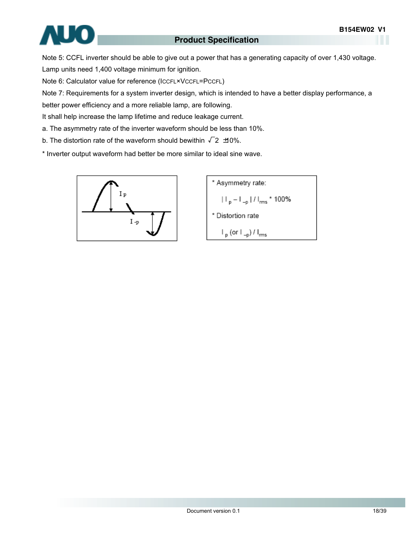

Note 5: CCFL inverter should be able to give out a power that has a generating capacity of over 1,430 voltage. Lamp units need 1,400 voltage minimum for ignition.

Note 6: Calculator value for reference (ICCFL×VCCFL=PCCFL)

Note 7: Requirements for a system inverter design, which is intended to have a better display performance, a

better power efficiency and a more reliable lamp, are following.

It shall help increase the lamp lifetime and reduce leakage current.

a. The asymmetry rate of the inverter waveform should be less than 10%.

b. The distortion rate of the waveform should bewithin  $\sqrt{2}$   $\pm$ 0%.

\* Inverter output waveform had better be more similar to ideal sine wave.



\* Asymmetry rate:  
\n
$$
|I_{p} - I_{-p}| / I_{rms} * 100\%
$$
\n\* Distortion rate  
\n
$$
I_{p} (or I_{-p}) / I_{rms}
$$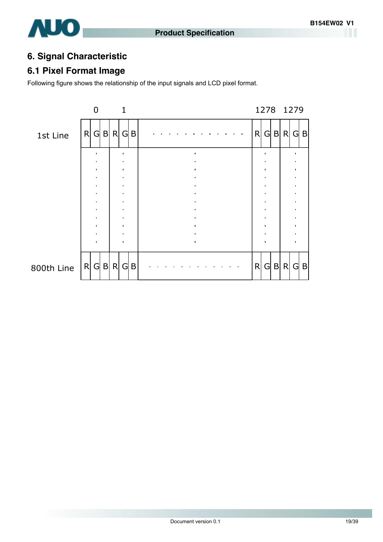### <span id="page-18-0"></span>**6. Signal Characteristic**

### **6.1 Pixel Format Image**

Following figure shows the relationship of the input signals and LCD pixel format.

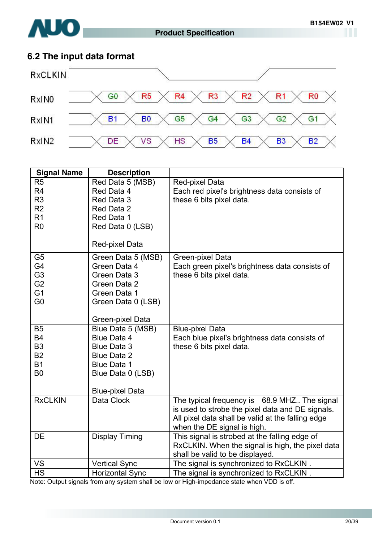<span id="page-19-0"></span>

### **6.2 The input data format**



| <b>Signal Name</b> | <b>Description</b>     |                                                   |
|--------------------|------------------------|---------------------------------------------------|
| R <sub>5</sub>     | Red Data 5 (MSB)       | Red-pixel Data                                    |
| R <sub>4</sub>     | Red Data 4             | Each red pixel's brightness data consists of      |
| R <sub>3</sub>     | Red Data 3             | these 6 bits pixel data.                          |
| R <sub>2</sub>     | Red Data 2             |                                                   |
| R <sub>1</sub>     | Red Data 1             |                                                   |
| R <sub>0</sub>     | Red Data 0 (LSB)       |                                                   |
|                    |                        |                                                   |
|                    | Red-pixel Data         |                                                   |
| G <sub>5</sub>     | Green Data 5 (MSB)     | Green-pixel Data                                  |
| G4                 | Green Data 4           | Each green pixel's brightness data consists of    |
| G <sub>3</sub>     | Green Data 3           | these 6 bits pixel data.                          |
| G <sub>2</sub>     | Green Data 2           |                                                   |
| G <sub>1</sub>     | Green Data 1           |                                                   |
| G <sub>0</sub>     | Green Data 0 (LSB)     |                                                   |
|                    | Green-pixel Data       |                                                   |
| <b>B5</b>          | Blue Data 5 (MSB)      | <b>Blue-pixel Data</b>                            |
| <b>B4</b>          | <b>Blue Data 4</b>     | Each blue pixel's brightness data consists of     |
| B <sub>3</sub>     | <b>Blue Data 3</b>     | these 6 bits pixel data.                          |
| <b>B2</b>          | <b>Blue Data 2</b>     |                                                   |
| <b>B1</b>          | <b>Blue Data 1</b>     |                                                   |
| B <sub>0</sub>     | Blue Data 0 (LSB)      |                                                   |
|                    |                        |                                                   |
|                    | <b>Blue-pixel Data</b> |                                                   |
| <b>RxCLKIN</b>     | Data Clock             | The typical frequency is 68.9 MHZ The signal      |
|                    |                        | is used to strobe the pixel data and DE signals.  |
|                    |                        | All pixel data shall be valid at the falling edge |
|                    |                        | when the DE signal is high.                       |
| DE                 | <b>Display Timing</b>  | This signal is strobed at the falling edge of     |
|                    |                        | RxCLKIN. When the signal is high, the pixel data  |
|                    |                        | shall be valid to be displayed.                   |
| VS                 | <b>Vertical Sync</b>   | The signal is synchronized to RxCLKIN.            |
| <b>HS</b>          | <b>Horizontal Sync</b> | The signal is synchronized to RxCLKIN.            |

Note: Output signals from any system shall be low or High-impedance state when VDD is off.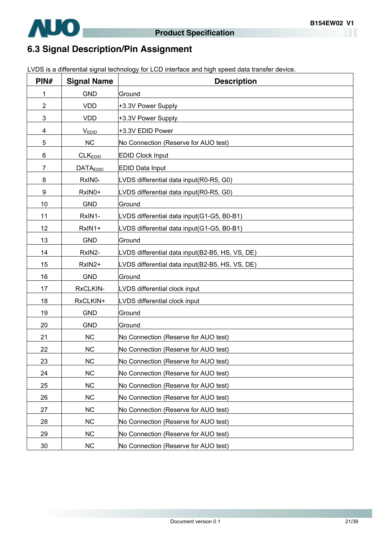<span id="page-20-0"></span>

### **6.3 Signal Description/Pin Assignment**

LVDS is a differential signal technology for LCD interface and high speed data transfer device.

| PIN#           | <b>Signal Name</b>  | <b>Description</b>                              |
|----------------|---------------------|-------------------------------------------------|
| 1              | <b>GND</b>          | Ground                                          |
| $\overline{2}$ | <b>VDD</b>          | +3.3V Power Supply                              |
| 3              | <b>VDD</b>          | +3.3V Power Supply                              |
| 4              | <b>VEDID</b>        | +3.3V EDID Power                                |
| 5              | <b>NC</b>           | No Connection (Reserve for AUO test)            |
| 6              | CLK <sub>EDID</sub> | <b>EDID Clock Input</b>                         |
| 7              | <b>DATAEDID</b>     | <b>EDID Data Input</b>                          |
| 8              | RxIN0-              | LVDS differential data input(R0-R5, G0)         |
| 9              | RxIN0+              | LVDS differential data input(R0-R5, G0)         |
| 10             | <b>GND</b>          | Ground                                          |
| 11             | RxIN1-              | LVDS differential data input(G1-G5, B0-B1)      |
| 12             | RxIN1+              | LVDS differential data input(G1-G5, B0-B1)      |
| 13             | <b>GND</b>          | Ground                                          |
| 14             | RxIN2-              | LVDS differential data input(B2-B5, HS, VS, DE) |
| 15             | RxIN2+              | LVDS differential data input(B2-B5, HS, VS, DE) |
| 16             | <b>GND</b>          | Ground                                          |
| 17             | RxCLKIN-            | LVDS differential clock input                   |
| 18             | RxCLKIN+            | LVDS differential clock input                   |
| 19             | <b>GND</b>          | Ground                                          |
| 20             | <b>GND</b>          | Ground                                          |
| 21             | <b>NC</b>           | No Connection (Reserve for AUO test)            |
| 22             | <b>NC</b>           | No Connection (Reserve for AUO test)            |
| 23             | <b>NC</b>           | No Connection (Reserve for AUO test)            |
| 24             | <b>NC</b>           | No Connection (Reserve for AUO test)            |
| 25             | <b>NC</b>           | No Connection (Reserve for AUO test)            |
| 26             | <b>NC</b>           | No Connection (Reserve for AUO test)            |
| 27             | <b>NC</b>           | No Connection (Reserve for AUO test)            |
| 28             | <b>NC</b>           | No Connection (Reserve for AUO test)            |
| 29             | <b>NC</b>           | No Connection (Reserve for AUO test)            |
| 30             | <b>NC</b>           | No Connection (Reserve for AUO test)            |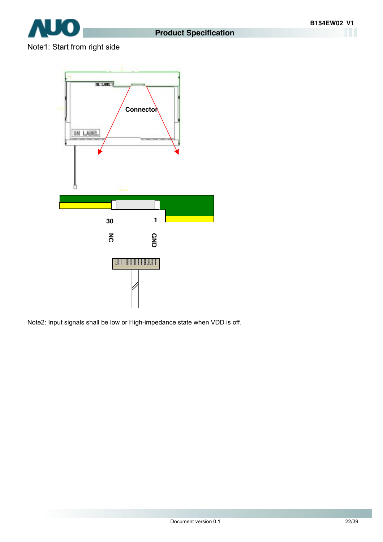

### Note1: Start from right side



Note2: Input signals shall be low or High-impedance state when VDD is off.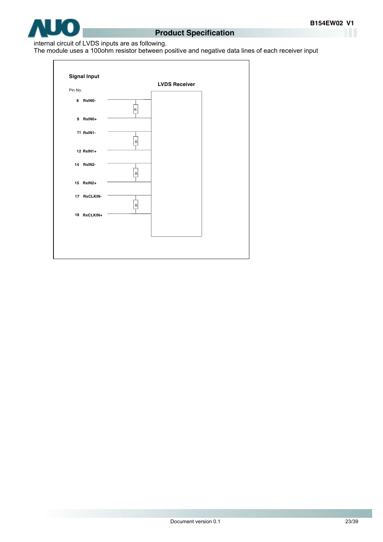

#### internal circuit of LVDS inputs are as following.

The module uses a 100ohm resistor between positive and negative data lines of each receiver input

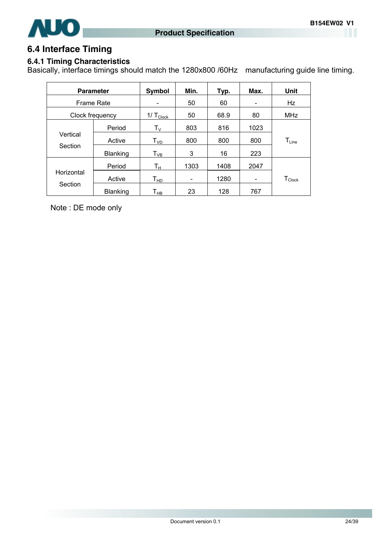<span id="page-23-0"></span>

### **6.4 Interface Timing**

#### **6.4.1 Timing Characteristics**

Basically, interface timings should match the 1280x800 /60Hz manufacturing guide line timing.

| <b>Parameter</b>  |                 | Symbol                     | Min.                     | Typ. | Max.                     | Unit                         |
|-------------------|-----------------|----------------------------|--------------------------|------|--------------------------|------------------------------|
| <b>Frame Rate</b> |                 |                            | 50                       | 60   | $\overline{\phantom{a}}$ | Hz                           |
|                   | Clock frequency | 1/ $T_{\text{Clock}}$      | 50                       | 68.9 | 80                       | <b>MHz</b>                   |
|                   | Period          | $\mathsf{T}_\mathsf{V}$    | 803                      | 816  | 1023                     |                              |
| Vertical          | Active          | T <sub>VD</sub>            | 800                      | 800  | 800                      | $\mathsf{T}_{\mathsf{Line}}$ |
| Section           | <b>Blanking</b> | $T_{VB}$                   | 3                        | 16   | 223                      |                              |
|                   | Period          | Tн                         | 1303                     | 1408 | 2047                     |                              |
| Horizontal        | Active          | $T_{HD}$                   | $\overline{\phantom{a}}$ | 1280 | -                        | $T_{\text{Clock}}$           |
| Section           | Blanking        | $\mathsf{T}_{\mathsf{HB}}$ | 23                       | 128  | 767                      |                              |

Note : DE mode only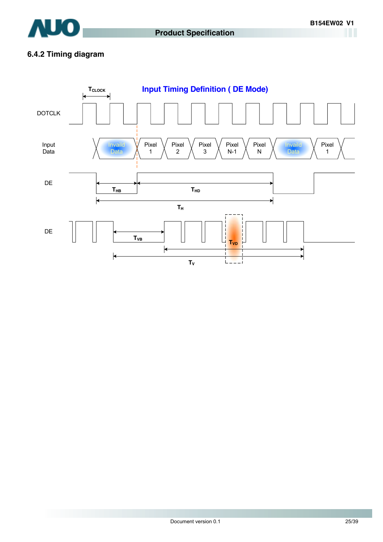

### **6.4.2 Timing diagram**

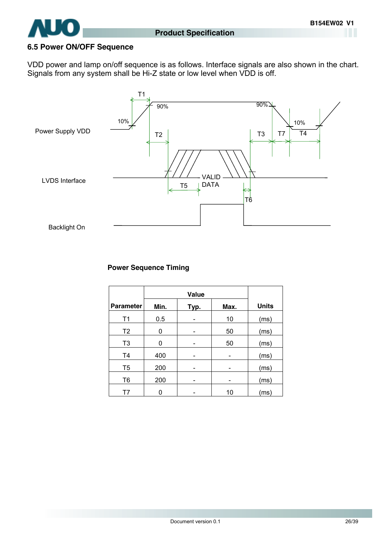<span id="page-25-0"></span>

#### **6.5 Power ON/OFF Sequence**

VDD power and lamp on/off sequence is as follows. Interface signals are also shown in the chart. Signals from any system shall be Hi-Z state or low level when VDD is off.



#### **Power Sequence Timing**

|                  | Value |      |      |              |
|------------------|-------|------|------|--------------|
| <b>Parameter</b> | Min.  | Typ. | Max. | <b>Units</b> |
| T1               | 0.5   |      | 10   | (ms)         |
| T <sub>2</sub>   | 0     |      | 50   | (ms)         |
| T <sub>3</sub>   | 0     |      | 50   | (ms)         |
| T <sub>4</sub>   | 400   |      |      | (ms)         |
| T <sub>5</sub>   | 200   |      | -    | (ms)         |
| T <sub>6</sub>   | 200   |      |      | (ms)         |
| T7               |       |      | 10   | (ms)         |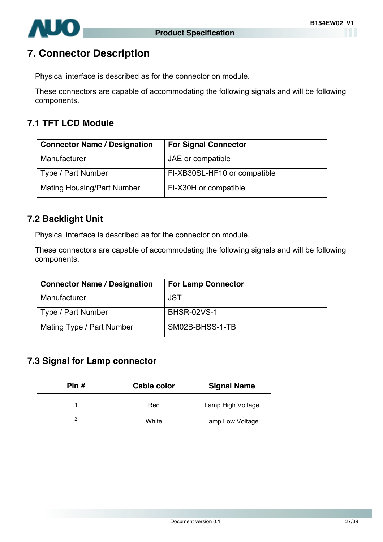<span id="page-26-0"></span>

### **7. Connector Description**

Physical interface is described as for the connector on module.

These connectors are capable of accommodating the following signals and will be following components.

### **7.1 TFT LCD Module**

| <b>Connector Name / Designation</b> | <b>For Signal Connector</b>  |
|-------------------------------------|------------------------------|
| Manufacturer                        | JAE or compatible            |
| Type / Part Number                  | FI-XB30SL-HF10 or compatible |
| <b>Mating Housing/Part Number</b>   | FI-X30H or compatible        |

### **7.2 Backlight Unit**

Physical interface is described as for the connector on module.

These connectors are capable of accommodating the following signals and will be following components.

| <b>Connector Name / Designation</b> | <b>For Lamp Connector</b> |
|-------------------------------------|---------------------------|
| Manufacturer                        | JST                       |
| Type / Part Number                  | <b>BHSR-02VS-1</b>        |
| Mating Type / Part Number           | SM02B-BHSS-1-TB           |

### **7.3 Signal for Lamp connector**

| Pin $#$ | Cable color | <b>Signal Name</b> |
|---------|-------------|--------------------|
|         | Red         | Lamp High Voltage  |
|         | White       | Lamp Low Voltage   |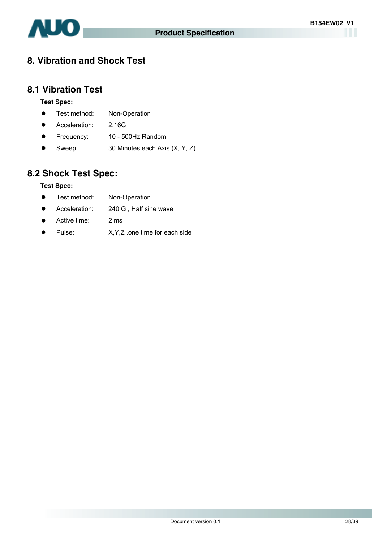<span id="page-27-0"></span>

### **8. Vibration and Shock Test**

#### **8.1 Vibration Test**

#### **Test Spec:**

- Test method: Non-Operation
- Acceleration: 2.16G
- Frequency: 10 500Hz Random
- Sweep:  $30$  Minutes each Axis  $(X, Y, Z)$

### **8.2 Shock Test Spec:**

#### **Test Spec:**

- Test method: Non-Operation
- Acceleration: 240 G, Half sine wave
- Active time: 2 ms
- Pulse: X, Y, Z .one time for each side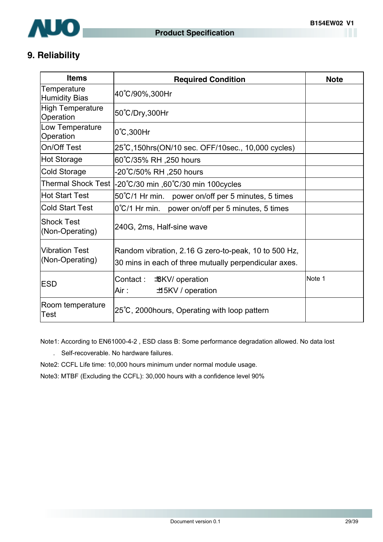<span id="page-28-0"></span>

### **9. Reliability**

| <b>Items</b>                             | <b>Required Condition</b>                                                                                     | <b>Note</b> |
|------------------------------------------|---------------------------------------------------------------------------------------------------------------|-------------|
| Temperature<br><b>Humidity Bias</b>      | 40°C/90%,300Hr                                                                                                |             |
| <b>High Temperature</b><br>Operation     | 50°C/Dry,300Hr                                                                                                |             |
| Low Temperature<br>Operation             | 0°C,300Hr                                                                                                     |             |
| On/Off Test                              | 25°C, 150hrs (ON/10 sec. OFF/10sec., 10,000 cycles)                                                           |             |
| <b>Hot Storage</b>                       | 60°C/35% RH ,250 hours                                                                                        |             |
| <b>Cold Storage</b>                      | -20℃/50% RH ,250 hours                                                                                        |             |
| <b>Thermal Shock Test</b>                | -20°C/30 min ,60°C/30 min 100cycles                                                                           |             |
| <b>Hot Start Test</b>                    | 50°C/1 Hr min. power on/off per 5 minutes, 5 times                                                            |             |
| <b>Cold Start Test</b>                   | $0^{\circ}$ C/1 Hr min. power on/off per 5 minutes, 5 times                                                   |             |
| <b>Shock Test</b><br>(Non-Operating)     | 240G, 2ms, Half-sine wave                                                                                     |             |
| <b>Vibration Test</b><br>(Non-Operating) | Random vibration, 2.16 G zero-to-peak, 10 to 500 Hz,<br>30 mins in each of three mutually perpendicular axes. |             |
| <b>ESD</b>                               | Contact : _<br><b>BKV</b> / operation<br>Air :<br>±15KV / operation                                           | Note 1      |
| Room temperature<br>Test                 | 25°C, 2000 hours, Operating with loop pattern                                                                 |             |

Note1: According to EN61000-4-2 , ESD class B: Some performance degradation allowed. No data lost

. Self-recoverable. No hardware failures.

Note2: CCFL Life time: 10,000 hours minimum under normal module usage.

Note3: MTBF (Excluding the CCFL): 30,000 hours with a confidence level 90%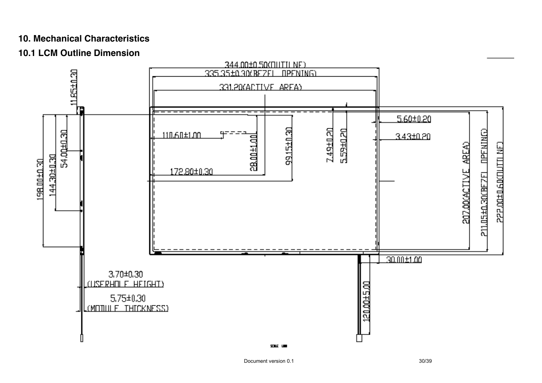### **10. Mechanical Characteristics**

### **10.1 LCM Outline Dimension**

<span id="page-29-0"></span>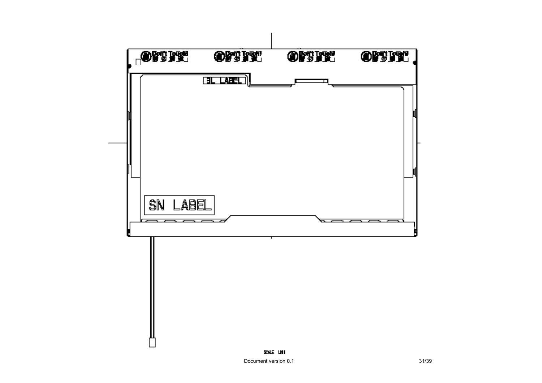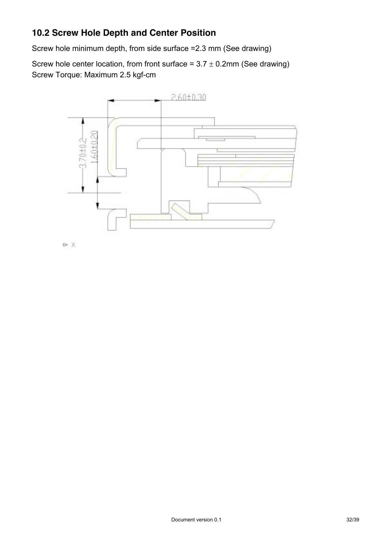### <span id="page-31-0"></span>**10.2 Screw Hole Depth and Center Position**

Screw hole minimum depth, from side surface =2.3 mm (See drawing)

Screw hole center location, from front surface =  $3.7 \pm 0.2$ mm (See drawing) Screw Torque: Maximum 2.5 kgf-cm



ex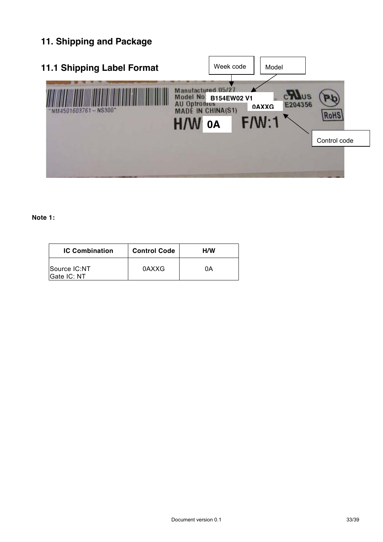# <span id="page-32-0"></span>**11. Shipping and Package**

| <b>11.1 Shipping Label Format</b> | Week code                                                                                                 | Model                            |              |
|-----------------------------------|-----------------------------------------------------------------------------------------------------------|----------------------------------|--------------|
| NM4501603761-NS300*               | tulactured 05/2<br>Model No:<br>B154EW02 V1<br><b>Uptromus</b><br><b>MADE IN CHINA(S1)</b><br>$H^p$<br>0A | E204356<br><b>0AXXG</b><br>F/N:1 |              |
|                                   |                                                                                                           |                                  | Control code |

#### **Note 1:**

| <b>IC Combination</b>       | <b>Control Code</b> | H/W |
|-----------------------------|---------------------|-----|
| Source IC:NT<br>Gate IC: NT | 0AXXG               | ΩA  |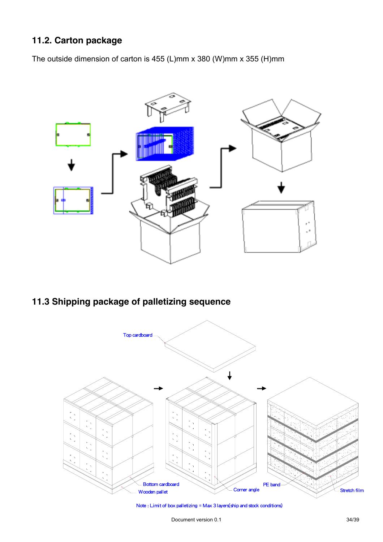### <span id="page-33-0"></span>**11.2. Carton package**

The outside dimension of carton is 455 (L)mm x 380 (W)mm x 355 (H)mm



### **11.3 Shipping package of palletizing sequence**



Note : Limit of box palletizing = Max 3 layers(ship and stock conditions)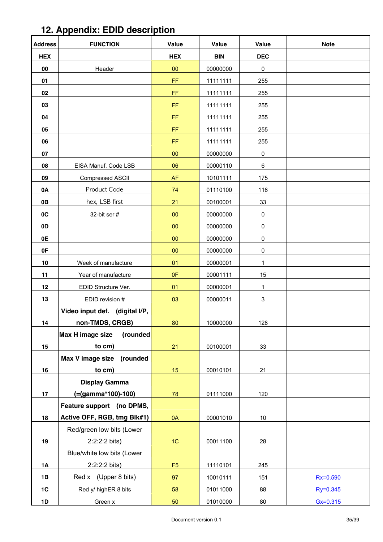<span id="page-34-0"></span>

| 12. Appendix: EDID description |  |
|--------------------------------|--|
|                                |  |

| <b>Address</b> | <b>FUNCTION</b>                | Value          | <b>Value</b> | <b>Value</b> | <b>Note</b>  |
|----------------|--------------------------------|----------------|--------------|--------------|--------------|
| <b>HEX</b>     |                                | <b>HEX</b>     | <b>BIN</b>   | <b>DEC</b>   |              |
| 00             | Header                         | 00             | 00000000     | 0            |              |
| 01             |                                | FF             | 11111111     | 255          |              |
| 02             |                                | FF.            | 11111111     | 255          |              |
| 03             |                                | FF             | 11111111     | 255          |              |
| 04             |                                | FF.            | 11111111     | 255          |              |
| 05             |                                | FF             | 11111111     | 255          |              |
| 06             |                                | FF             | 11111111     | 255          |              |
| 07             |                                | 00             | 00000000     | 0            |              |
| 08             | EISA Manuf. Code LSB           | 06             | 00000110     | 6            |              |
| 09             | Compressed ASCII               | AF             | 10101111     | 175          |              |
| 0A             | Product Code                   | 74             | 01110100     | 116          |              |
| 0B             | hex, LSB first                 | 21             | 00100001     | 33           |              |
| 0C             | 32-bit ser #                   | 00             | 00000000     | 0            |              |
| 0D             |                                | $00\,$         | 00000000     | 0            |              |
| 0E             |                                | 00             | 00000000     | 0            |              |
| 0F             |                                | 00             | 00000000     | 0            |              |
| 10             | Week of manufacture            | 01             | 00000001     | 1            |              |
| 11             | Year of manufacture            | 0F             | 00001111     | 15           |              |
| 12             | EDID Structure Ver.            | 01             | 00000001     | 1            |              |
| 13             | EDID revision #                | 03             | 00000011     | $\mathbf{3}$ |              |
|                | Video input def. (digital I/P, |                |              |              |              |
| 14             | non-TMDS, CRGB)                | 80             | 10000000     | 128          |              |
|                | (rounded<br>Max H image size   |                |              |              |              |
| 15             | to cm)                         | 21             | 00100001     | 33           |              |
|                | Max V image size<br>(rounded   |                |              |              |              |
| 16             | to cm)                         | 15             | 00010101     | 21           |              |
|                | <b>Display Gamma</b>           |                |              |              |              |
| 17             | (=(gamma*100)-100)             | 78             | 01111000     | 120          |              |
|                | Feature support (no DPMS,      |                |              |              |              |
| 18             | Active OFF, RGB, tmg Blk#1)    | 0A             | 00001010     | $10\,$       |              |
|                | Red/green low bits (Lower      |                |              |              |              |
| 19             | 2:2:2:2 bits)                  | 1C             | 00011100     | 28           |              |
|                | Blue/white low bits (Lower     |                |              |              |              |
| <b>1A</b>      | 2:2:2:2 bits)                  | F <sub>5</sub> | 11110101     | 245          |              |
| 1B             | Red x (Upper 8 bits)           | 97             | 10010111     | 151          | Rx=0.590     |
| 1C             | Red y/ highER 8 bits           | 58             | 01011000     | 88           | Ry=0.345     |
| 1D             | Green x                        | 50             | 01010000     | $80\,$       | $Gx = 0.315$ |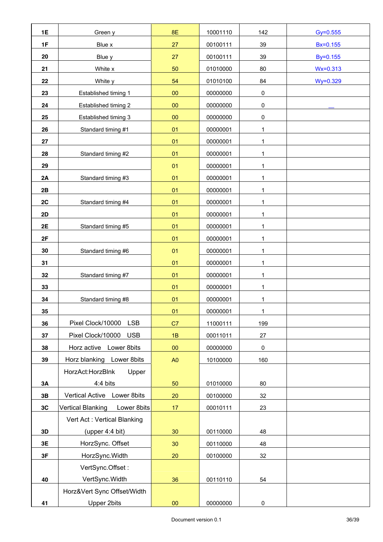| 1E | Green y                          | 8E              | 10001110 | 142          | $Gy = 0.555$ |
|----|----------------------------------|-----------------|----------|--------------|--------------|
| 1F | Blue x                           | 27              | 00100111 | 39           | Bx=0.155     |
| 20 | Blue y                           | 27              | 00100111 | 39           | By=0.155     |
| 21 | White x                          | 50              | 01010000 | 80           | $Wx = 0.313$ |
| 22 | White y                          | 54              | 01010100 | 84           | Wy=0.329     |
| 23 | Established timing 1             | $00\,$          | 00000000 | 0            |              |
| 24 | Established timing 2             | $00\,$          | 00000000 | 0            |              |
| 25 | Established timing 3             | 00              | 00000000 | 0            |              |
| 26 | Standard timing #1               | 01              | 00000001 | 1            |              |
| 27 |                                  | 01              | 00000001 | 1            |              |
| 28 | Standard timing #2               | 01              | 00000001 | 1            |              |
| 29 |                                  | 01              | 00000001 | 1            |              |
| 2A | Standard timing #3               | 01              | 00000001 | 1            |              |
| 2B |                                  | 01              | 00000001 | 1            |              |
| 2C | Standard timing #4               | 01              | 00000001 | $\mathbf{1}$ |              |
| 2D |                                  | 01              | 00000001 | 1            |              |
| 2E | Standard timing #5               | 01              | 00000001 | 1            |              |
| 2F |                                  | 01              | 00000001 | 1            |              |
| 30 | Standard timing #6               | 01              | 00000001 | $\mathbf{1}$ |              |
| 31 |                                  | 01              | 00000001 | 1            |              |
| 32 | Standard timing #7               | 01              | 00000001 | 1            |              |
| 33 |                                  | 01              | 00000001 | $\mathbf{1}$ |              |
| 34 | Standard timing #8               | 01              | 00000001 | 1            |              |
| 35 |                                  | 01              | 00000001 | 1            |              |
| 36 | Pixel Clock/10000<br><b>LSB</b>  | C7              | 11000111 | 199          |              |
| 37 | Pixel Clock/10000<br><b>USB</b>  | 1B              | 00011011 | 27           |              |
| 38 | Horz active Lower 8bits          | $00\,$          | 00000000 | 0            |              |
| 39 | Horz blanking Lower 8bits        | A <sub>0</sub>  | 10100000 | 160          |              |
|    | HorzAct:HorzBlnk<br>Upper        |                 |          |              |              |
| 3A | 4:4 bits                         | 50              | 01010000 | 80           |              |
| 3B | Vertical Active Lower 8bits      | 20              | 00100000 | 32           |              |
| 3C | Vertical Blanking<br>Lower 8bits | 17              | 00010111 | 23           |              |
|    | Vert Act: Vertical Blanking      |                 |          |              |              |
| 3D | (upper 4:4 bit)                  | 30 <sub>o</sub> | 00110000 | 48           |              |
| 3E | HorzSync. Offset                 | 30              | 00110000 | 48           |              |
| 3F | HorzSync.Width                   | 20              | 00100000 | 32           |              |
|    | VertSync.Offset:                 |                 |          |              |              |
| 40 | VertSync. Width                  | 36              | 00110110 | 54           |              |
|    | Horz‖ Sync Offset/Width          |                 |          |              |              |
| 41 | <b>Upper 2bits</b>               | $\bf{00}$       | 00000000 | 0            |              |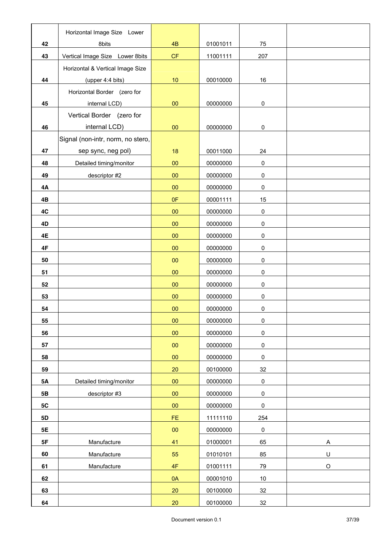|           | Horizontal Image Size Lower       |           |          |           |             |
|-----------|-----------------------------------|-----------|----------|-----------|-------------|
| 42        | 8bits                             | 4B        | 01001011 | 75        |             |
| 43        | Vertical Image Size Lower 8bits   | CF        | 11001111 | 207       |             |
|           | Horizontal & Vertical Image Size  |           |          |           |             |
| 44        | (upper 4:4 bits)                  | $10$      | 00010000 | 16        |             |
|           | Horizontal Border (zero for       |           |          |           |             |
| 45        | internal LCD)                     | $00\,$    | 00000000 | 0         |             |
|           | Vertical Border (zero for         |           |          |           |             |
| 46        | internal LCD)                     | $00\,$    | 00000000 | 0         |             |
|           | Signal (non-intr, norm, no stero, |           |          |           |             |
| 47        | sep sync, neg pol)                | 18        | 00011000 | 24        |             |
| 48        | Detailed timing/monitor           | $00\,$    | 00000000 | 0         |             |
| 49        | descriptor #2                     | $\bf{00}$ | 00000000 | 0         |             |
| 4A        |                                   | $00\,$    | 00000000 | $\pmb{0}$ |             |
| 4B        |                                   | 0F        | 00001111 | 15        |             |
| 4C        |                                   | $00\,$    | 00000000 | $\pmb{0}$ |             |
| 4D        |                                   | $00\,$    | 00000000 | 0         |             |
| 4E        |                                   | $\bf{00}$ | 00000000 | 0         |             |
| 4F        |                                   | $00\,$    | 00000000 | 0         |             |
| 50        |                                   | $\bf{00}$ | 00000000 | 0         |             |
| 51        |                                   | $00\,$    | 00000000 | 0         |             |
| 52        |                                   | 00        | 00000000 | 0         |             |
| 53        |                                   | $00\,$    | 00000000 | 0         |             |
| 54        |                                   | $00\,$    | 00000000 | 0         |             |
| 55        |                                   | $00\,$    | 00000000 | $\pmb{0}$ |             |
| 56        |                                   | $00\,$    | 00000000 | 0         |             |
| 57        |                                   | $00\,$    | 00000000 | $\pmb{0}$ |             |
| 58        |                                   | $00\,$    | 00000000 | 0         |             |
| 59        |                                   | 20        | 00100000 | 32        |             |
| <b>5A</b> | Detailed timing/monitor           | $00\,$    | 00000000 | $\pmb{0}$ |             |
| 5B        | descriptor #3                     | $\bf{00}$ | 00000000 | $\pmb{0}$ |             |
| 5C        |                                   | $\bf{00}$ | 00000000 | $\pmb{0}$ |             |
| <b>5D</b> |                                   | FE        | 11111110 | 254       |             |
| 5E        |                                   | $00\,$    | 00000000 | $\pmb{0}$ |             |
| 5F        | Manufacture                       | 41        | 01000001 | 65        | Α           |
| 60        | Manufacture                       | 55        | 01010101 | 85        | $\sf U$     |
| 61        | Manufacture                       | 4F        | 01001111 | 79        | $\mathsf O$ |
| 62        |                                   | 0A        | 00001010 | $10\,$    |             |
| 63        |                                   | 20        | 00100000 | 32        |             |
| 64        |                                   | $20\,$    | 00100000 | 32        |             |